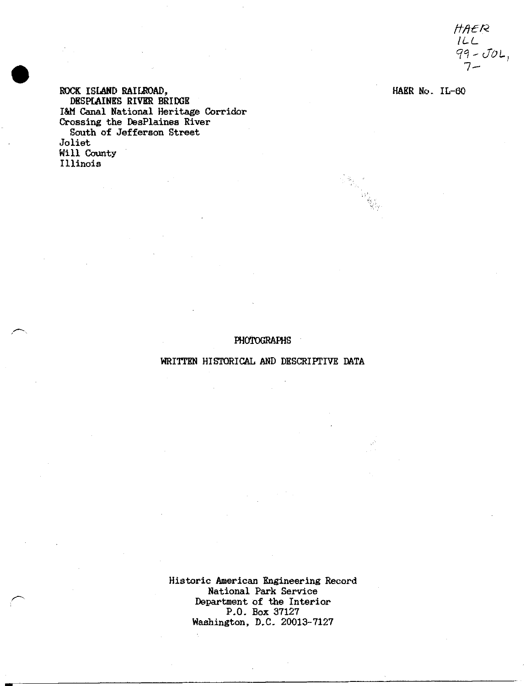HAER *ILL H°\-JOL 1-*

ROCK ISLAND RAILROAD,  $HAKR$  No. IL-60 DESPIAINES RIVER BRIDGE I&M Canal National Heritage Corridor Crossing the DesPlaines River South of Jefferson Street Joliet Will County Illinois

## PHOTOGRAPHS

## WRITTEN HISTORICAL AND DESCRIPTIVE DATA

Historic American Engineering Record National Park Service Department of the Interior P.O. Box 37127 Washington, D.C, 20013-7127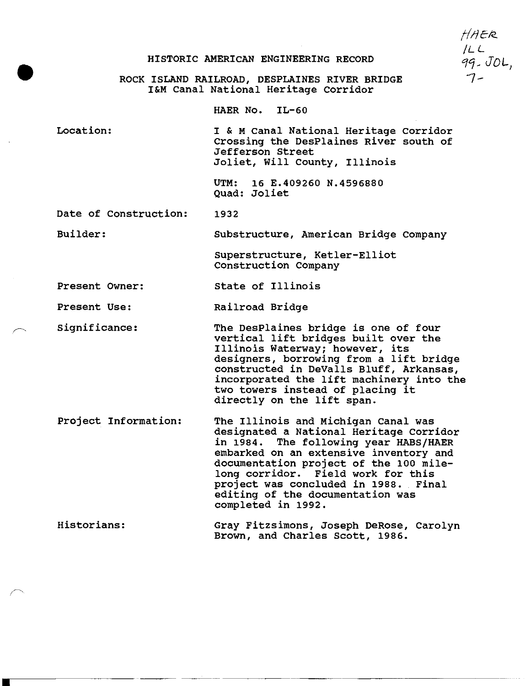## HISTORIC AMERICAN ENGINEERING RECORD

HAER *ILL* "7-

ROCK ISLAND RAILROAD, DESPLAINES RIVER BRIDGE I&M Canal National Heritage Corridor

HAER No. IL-60

Location: I&M Canal National Heritage Corridor Crossing the DesPlaines River south of Jefferson Street Joliet, Will County, Illinois

> UTM: 16 E.409260 N.4596880 Quad: Joliet

1932 Date of Construction:

Substructure, American Bridge Company Builder:

> Superstructure, Ketler-Elliot Construction Company

State of Illinois Present Owner:

Present Use: Railroad Bridge

- Significance: The DesPlaines bridge is one of four vertical lift bridges built over the Illinois Waterway; however, its designers, borrowing from a lift bridge constructed in DeValls Bluff, Arkansas, incorporated the lift machinery into the two towers instead of placing it directly on the lift span.
- Project Information The Illinois and Michigan Canal was designated a National Heritage Corridor in 1984. The following year HABS/HAER embarked on an extensive inventory and documentation project of the 100 milelong corridor. Field work for this project was concluded in 1988. Final editing of the documentation was completed in 1992.

Historians: Gray Fitzsimons, Joseph DeRose, Carolyn Brown, and Charles Scott, 1986.